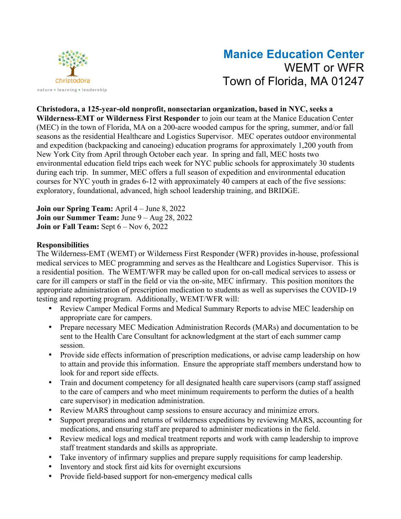

# **Manice Education Center** WEMT or WFR Town of Florida, MA 01247

**Christodora, a 125-year-old nonprofit, nonsectarian organization, based in NYC, seeks a Wilderness-EMT or Wilderness First Responder** to join our team at the Manice Education Center (MEC) in the town of Florida, MA on a 200-acre wooded campus for the spring, summer, and/or fall seasons as the residential Healthcare and Logistics Supervisor. MEC operates outdoor environmental and expedition (backpacking and canoeing) education programs for approximately 1,200 youth from New York City from April through October each year. In spring and fall, MEC hosts two environmental education field trips each week for NYC public schools for approximately 30 students during each trip. In summer, MEC offers a full season of expedition and environmental education courses for NYC youth in grades 6-12 with approximately 40 campers at each of the five sessions: exploratory, foundational, advanced, high school leadership training, and BRIDGE.

**Join our Spring Team:** April 4 – June 8, 2022 **Join our Summer Team:** June 9 – Aug 28, 2022 **Join or Fall Team:** Sept 6 – Nov 6, 2022

### **Responsibilities**

The Wilderness-EMT (WEMT) or Wilderness First Responder (WFR) provides in-house, professional medical services to MEC programming and serves as the Healthcare and Logistics Supervisor. This is a residential position. The WEMT/WFR may be called upon for on-call medical services to assess or care for ill campers or staff in the field or via the on-site, MEC infirmary. This position monitors the appropriate administration of prescription medication to students as well as supervises the COVID-19 testing and reporting program. Additionally, WEMT/WFR will:

- Review Camper Medical Forms and Medical Summary Reports to advise MEC leadership on appropriate care for campers.
- Prepare necessary MEC Medication Administration Records (MARs) and documentation to be sent to the Health Care Consultant for acknowledgment at the start of each summer camp session.
- Provide side effects information of prescription medications, or advise camp leadership on how to attain and provide this information. Ensure the appropriate staff members understand how to look for and report side effects.
- Train and document competency for all designated health care supervisors (camp staff assigned to the care of campers and who meet minimum requirements to perform the duties of a health care supervisor) in medication administration.
- Review MARS throughout camp sessions to ensure accuracy and minimize errors.
- Support preparations and returns of wilderness expeditions by reviewing MARS, accounting for medications, and ensuring staff are prepared to administer medications in the field.
- Review medical logs and medical treatment reports and work with camp leadership to improve staff treatment standards and skills as appropriate.
- Take inventory of infirmary supplies and prepare supply requisitions for camp leadership.
- Inventory and stock first aid kits for overnight excursions
- Provide field-based support for non-emergency medical calls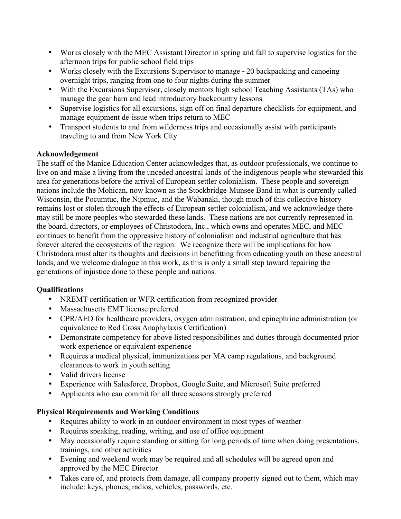- Works closely with the MEC Assistant Director in spring and fall to supervise logistics for the afternoon trips for public school field trips
- Works closely with the Excursions Supervisor to manage  $\sim$  20 backpacking and canoeing overnight trips, ranging from one to four nights during the summer
- With the Excursions Supervisor, closely mentors high school Teaching Assistants (TAs) who manage the gear barn and lead introductory backcountry lessons
- Supervise logistics for all excursions, sign off on final departure checklists for equipment, and manage equipment de-issue when trips return to MEC
- Transport students to and from wilderness trips and occasionally assist with participants traveling to and from New York City

## **Acknowledgement**

The staff of the Manice Education Center acknowledges that, as outdoor professionals, we continue to live on and make a living from the unceded ancestral lands of the indigenous people who stewarded this area for generations before the arrival of European settler colonialism. These people and sovereign nations include the Mohican, now known as the Stockbridge-Munsee Band in what is currently called Wisconsin, the Pocumtuc, the Nipmuc, and the Wabanaki, though much of this collective history remains lost or stolen through the effects of European settler colonialism, and we acknowledge there may still be more peoples who stewarded these lands. These nations are not currently represented in the board, directors, or employees of Christodora, Inc., which owns and operates MEC, and MEC continues to benefit from the oppressive history of colonialism and industrial agriculture that has forever altered the ecosystems of the region. We recognize there will be implications for how Christodora must alter its thoughts and decisions in benefitting from educating youth on these ancestral lands, and we welcome dialogue in this work, as this is only a small step toward repairing the generations of injustice done to these people and nations.

# **Qualifications**

- NREMT certification or WFR certification from recognized provider
- Massachusetts EMT license preferred
- CPR/AED for healthcare providers, oxygen administration, and epinephrine administration (or equivalence to Red Cross Anaphylaxis Certification)
- Demonstrate competency for above listed responsibilities and duties through documented prior work experience or equivalent experience
- Requires a medical physical, immunizations per MA camp regulations, and background clearances to work in youth setting
- Valid drivers license
- Experience with Salesforce, Dropbox, Google Suite, and Microsoft Suite preferred
- Applicants who can commit for all three seasons strongly preferred

# **Physical Requirements and Working Conditions**

- Requires ability to work in an outdoor environment in most types of weather
- Requires speaking, reading, writing, and use of office equipment
- May occasionally require standing or sitting for long periods of time when doing presentations, trainings, and other activities
- Evening and weekend work may be required and all schedules will be agreed upon and approved by the MEC Director
- Takes care of, and protects from damage, all company property signed out to them, which may include: keys, phones, radios, vehicles, passwords, etc.